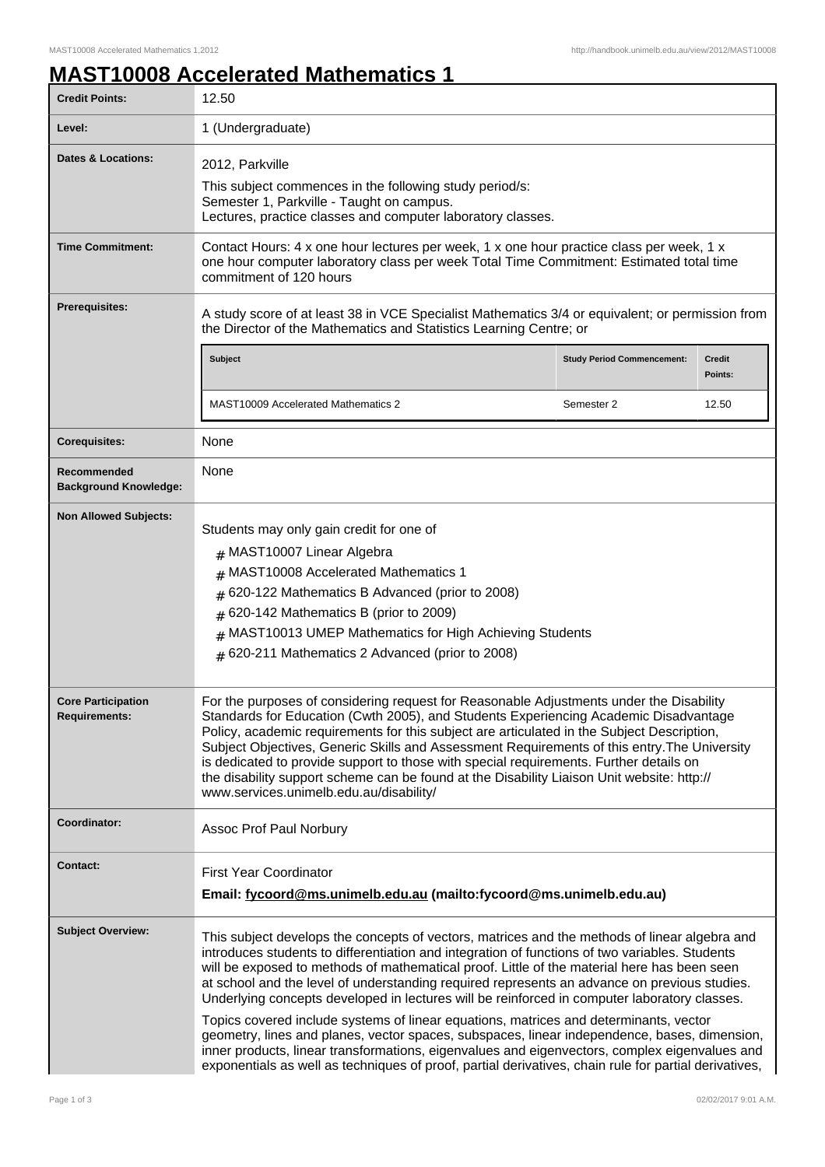## **MAST10008 Accelerated Mathematics 1**

| <b>Credit Points:</b>                             | 12.50                                                                                                                                                                                                                                                                                                                                                                                                                                                                                                                                                                                                                                                                                                                                                                                                                                                                                             |                                   |                          |
|---------------------------------------------------|---------------------------------------------------------------------------------------------------------------------------------------------------------------------------------------------------------------------------------------------------------------------------------------------------------------------------------------------------------------------------------------------------------------------------------------------------------------------------------------------------------------------------------------------------------------------------------------------------------------------------------------------------------------------------------------------------------------------------------------------------------------------------------------------------------------------------------------------------------------------------------------------------|-----------------------------------|--------------------------|
| Level:                                            | 1 (Undergraduate)                                                                                                                                                                                                                                                                                                                                                                                                                                                                                                                                                                                                                                                                                                                                                                                                                                                                                 |                                   |                          |
| <b>Dates &amp; Locations:</b>                     | 2012, Parkville<br>This subject commences in the following study period/s:<br>Semester 1, Parkville - Taught on campus.<br>Lectures, practice classes and computer laboratory classes.                                                                                                                                                                                                                                                                                                                                                                                                                                                                                                                                                                                                                                                                                                            |                                   |                          |
| <b>Time Commitment:</b>                           | Contact Hours: 4 x one hour lectures per week, 1 x one hour practice class per week, 1 x<br>one hour computer laboratory class per week Total Time Commitment: Estimated total time<br>commitment of 120 hours                                                                                                                                                                                                                                                                                                                                                                                                                                                                                                                                                                                                                                                                                    |                                   |                          |
| <b>Prerequisites:</b>                             | A study score of at least 38 in VCE Specialist Mathematics 3/4 or equivalent; or permission from<br>the Director of the Mathematics and Statistics Learning Centre; or                                                                                                                                                                                                                                                                                                                                                                                                                                                                                                                                                                                                                                                                                                                            |                                   |                          |
|                                                   | Subject                                                                                                                                                                                                                                                                                                                                                                                                                                                                                                                                                                                                                                                                                                                                                                                                                                                                                           | <b>Study Period Commencement:</b> | <b>Credit</b><br>Points: |
|                                                   | <b>MAST10009 Accelerated Mathematics 2</b>                                                                                                                                                                                                                                                                                                                                                                                                                                                                                                                                                                                                                                                                                                                                                                                                                                                        | Semester 2                        | 12.50                    |
| <b>Corequisites:</b>                              | None                                                                                                                                                                                                                                                                                                                                                                                                                                                                                                                                                                                                                                                                                                                                                                                                                                                                                              |                                   |                          |
| Recommended<br><b>Background Knowledge:</b>       | None                                                                                                                                                                                                                                                                                                                                                                                                                                                                                                                                                                                                                                                                                                                                                                                                                                                                                              |                                   |                          |
| <b>Non Allowed Subjects:</b>                      | Students may only gain credit for one of<br># MAST10007 Linear Algebra<br>MAST10008 Accelerated Mathematics 1<br>#<br>620-122 Mathematics B Advanced (prior to 2008)<br>#<br>620-142 Mathematics B (prior to 2009)<br>#<br>MAST10013 UMEP Mathematics for High Achieving Students<br>#<br># 620-211 Mathematics 2 Advanced (prior to 2008)                                                                                                                                                                                                                                                                                                                                                                                                                                                                                                                                                        |                                   |                          |
| <b>Core Participation</b><br><b>Requirements:</b> | For the purposes of considering request for Reasonable Adjustments under the Disability<br>Standards for Education (Cwth 2005), and Students Experiencing Academic Disadvantage<br>Policy, academic requirements for this subject are articulated in the Subject Description,<br>Subject Objectives, Generic Skills and Assessment Requirements of this entry. The University<br>is dedicated to provide support to those with special requirements. Further details on<br>the disability support scheme can be found at the Disability Liaison Unit website: http://<br>www.services.unimelb.edu.au/disability/                                                                                                                                                                                                                                                                                  |                                   |                          |
| Coordinator:                                      | Assoc Prof Paul Norbury                                                                                                                                                                                                                                                                                                                                                                                                                                                                                                                                                                                                                                                                                                                                                                                                                                                                           |                                   |                          |
| <b>Contact:</b>                                   | <b>First Year Coordinator</b><br>Email: fycoord@ms.unimelb.edu.au (mailto:fycoord@ms.unimelb.edu.au)                                                                                                                                                                                                                                                                                                                                                                                                                                                                                                                                                                                                                                                                                                                                                                                              |                                   |                          |
| <b>Subject Overview:</b>                          | This subject develops the concepts of vectors, matrices and the methods of linear algebra and<br>introduces students to differentiation and integration of functions of two variables. Students<br>will be exposed to methods of mathematical proof. Little of the material here has been seen<br>at school and the level of understanding required represents an advance on previous studies.<br>Underlying concepts developed in lectures will be reinforced in computer laboratory classes.<br>Topics covered include systems of linear equations, matrices and determinants, vector<br>geometry, lines and planes, vector spaces, subspaces, linear independence, bases, dimension,<br>inner products, linear transformations, eigenvalues and eigenvectors, complex eigenvalues and<br>exponentials as well as techniques of proof, partial derivatives, chain rule for partial derivatives, |                                   |                          |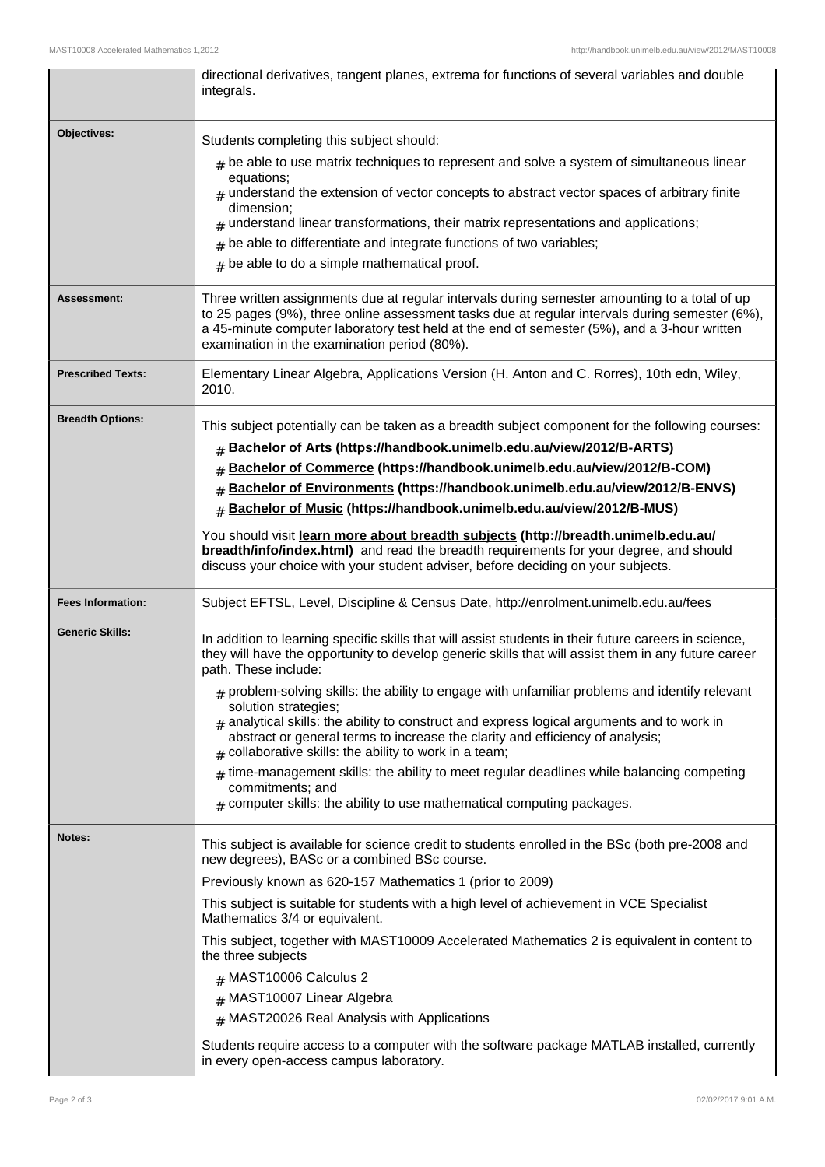|                          | directional derivatives, tangent planes, extrema for functions of several variables and double<br>integrals.                                                                                                                                                     |  |
|--------------------------|------------------------------------------------------------------------------------------------------------------------------------------------------------------------------------------------------------------------------------------------------------------|--|
| <b>Objectives:</b>       | Students completing this subject should:                                                                                                                                                                                                                         |  |
|                          | $_{\text{\#}}$ be able to use matrix techniques to represent and solve a system of simultaneous linear                                                                                                                                                           |  |
|                          | equations;<br>$#$ understand the extension of vector concepts to abstract vector spaces of arbitrary finite                                                                                                                                                      |  |
|                          | dimension;                                                                                                                                                                                                                                                       |  |
|                          | $*$ understand linear transformations, their matrix representations and applications;<br>be able to differentiate and integrate functions of two variables;                                                                                                      |  |
|                          | be able to do a simple mathematical proof.<br>#                                                                                                                                                                                                                  |  |
| Assessment:              | Three written assignments due at regular intervals during semester amounting to a total of up                                                                                                                                                                    |  |
|                          | to 25 pages (9%), three online assessment tasks due at regular intervals during semester (6%),<br>a 45-minute computer laboratory test held at the end of semester (5%), and a 3-hour written<br>examination in the examination period (80%).                    |  |
| <b>Prescribed Texts:</b> | Elementary Linear Algebra, Applications Version (H. Anton and C. Rorres), 10th edn, Wiley,<br>2010.                                                                                                                                                              |  |
| <b>Breadth Options:</b>  | This subject potentially can be taken as a breadth subject component for the following courses:                                                                                                                                                                  |  |
|                          | Bachelor of Arts (https://handbook.unimelb.edu.au/view/2012/B-ARTS)<br>#                                                                                                                                                                                         |  |
|                          | Bachelor of Commerce (https://handbook.unimelb.edu.au/view/2012/B-COM)                                                                                                                                                                                           |  |
|                          | Bachelor of Environments (https://handbook.unimelb.edu.au/view/2012/B-ENVS)<br>#                                                                                                                                                                                 |  |
|                          | Bachelor of Music (https://handbook.unimelb.edu.au/view/2012/B-MUS)<br>$\pm$                                                                                                                                                                                     |  |
|                          | You should visit learn more about breadth subjects (http://breadth.unimelb.edu.au/<br>breadth/info/index.html) and read the breadth requirements for your degree, and should<br>discuss your choice with your student adviser, before deciding on your subjects. |  |
| <b>Fees Information:</b> | Subject EFTSL, Level, Discipline & Census Date, http://enrolment.unimelb.edu.au/fees                                                                                                                                                                             |  |
| <b>Generic Skills:</b>   | In addition to learning specific skills that will assist students in their future careers in science,<br>they will have the opportunity to develop generic skills that will assist them in any future career<br>path. These include:                             |  |
|                          | $_{\text{\#}}$ problem-solving skills: the ability to engage with unfamiliar problems and identify relevant<br>solution strategies;<br>$#$ analytical skills: the ability to construct and express logical arguments and to work in                              |  |
|                          | abstract or general terms to increase the clarity and efficiency of analysis;<br>collaborative skills: the ability to work in a team;                                                                                                                            |  |
|                          | $#$ time-management skills: the ability to meet regular deadlines while balancing competing<br>commitments; and<br>$#$ computer skills: the ability to use mathematical computing packages.                                                                      |  |
| <b>Notes:</b>            | This subject is available for science credit to students enrolled in the BSc (both pre-2008 and<br>new degrees), BASc or a combined BSc course.                                                                                                                  |  |
|                          | Previously known as 620-157 Mathematics 1 (prior to 2009)                                                                                                                                                                                                        |  |
|                          | This subject is suitable for students with a high level of achievement in VCE Specialist<br>Mathematics 3/4 or equivalent.                                                                                                                                       |  |
|                          | This subject, together with MAST10009 Accelerated Mathematics 2 is equivalent in content to<br>the three subjects                                                                                                                                                |  |
|                          | $#$ MAST10006 Calculus 2                                                                                                                                                                                                                                         |  |
|                          | # MAST10007 Linear Algebra                                                                                                                                                                                                                                       |  |
|                          | $#$ MAST20026 Real Analysis with Applications                                                                                                                                                                                                                    |  |
|                          | Students require access to a computer with the software package MATLAB installed, currently<br>in every open-access campus laboratory.                                                                                                                           |  |